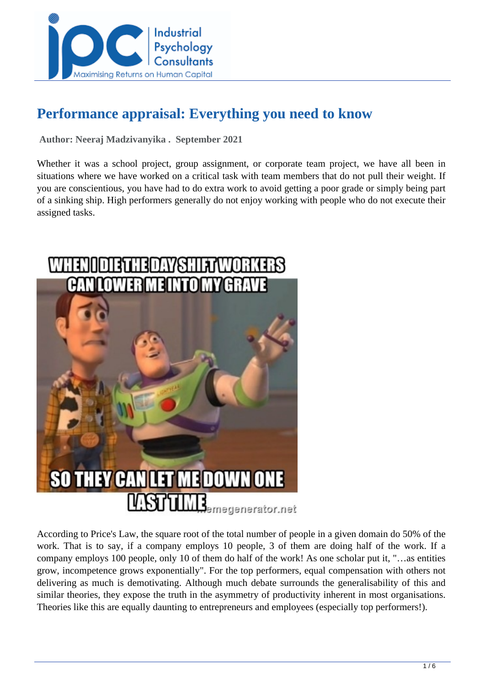

# **Performance appraisal: Everything you need to know**

 **Author: Neeraj Madzivanyika . September 2021** 

Whether it was a school project, group assignment, or corporate team project, we have all been in situations where we have worked on a critical task with team members that do not pull their weight. If you are conscientious, you have had to do extra work to avoid getting a poor grade or simply being part of a sinking ship. High performers generally do not enjoy working with people who do not execute their assigned tasks.



According to Price's Law, the square root of the total number of people in a given domain do 50% of the work. That is to say, if a company employs 10 people, 3 of them are doing half of the work. If a company employs 100 people, only 10 of them do half of the work! As one scholar put it, "…as entities grow, incompetence grows exponentially". For the top performers, equal compensation with others not delivering as much is demotivating. Although much debate surrounds the generalisability of this and similar theories, they expose the truth in the asymmetry of productivity inherent in most organisations. Theories like this are equally daunting to entrepreneurs and employees (especially top performers!).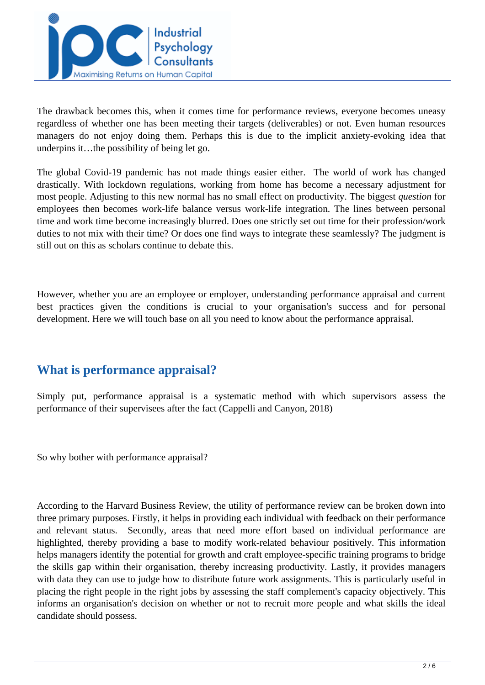

The drawback becomes this, when it comes time for performance reviews, everyone becomes uneasy regardless of whether one has been meeting their targets (deliverables) or not. Even human resources managers do not enjoy doing them. Perhaps this is due to the implicit anxiety-evoking idea that underpins it…the possibility of being let go.

The global Covid-19 pandemic has not made things easier either. The world of work has changed drastically. With lockdown regulations, working from home has become a necessary adjustment for most people. Adjusting to this new normal has no small effect on productivity. The biggest *question* for employees then becomes work-life balance versus work-life integration. The lines between personal time and work time become increasingly blurred. Does one strictly set out time for their profession/work duties to not mix with their time? Or does one find ways to integrate these seamlessly? The judgment is still out on this as scholars continue to debate this.

However, whether you are an employee or employer, understanding performance appraisal and current best practices given the conditions is crucial to your organisation's success and for personal development. Here we will touch base on all you need to know about the performance appraisal.

### **What is performance appraisal?**

Simply put, performance appraisal is a systematic method with which supervisors assess the performance of their supervisees after the fact (Cappelli and Canyon, 2018)

So why bother with performance appraisal?

According to the Harvard Business Review, the utility of performance review can be broken down into three primary purposes. Firstly, it helps in providing each individual with feedback on their performance and relevant status. Secondly, areas that need more effort based on individual performance are highlighted, thereby providing a base to modify work-related behaviour positively. This information helps managers identify the potential for growth and craft employee-specific training programs to bridge the skills gap within their organisation, thereby increasing productivity. Lastly, it provides managers with data they can use to judge how to distribute future work assignments. This is particularly useful in placing the right people in the right jobs by assessing the staff complement's capacity objectively. This informs an organisation's decision on whether or not to recruit more people and what skills the ideal candidate should possess.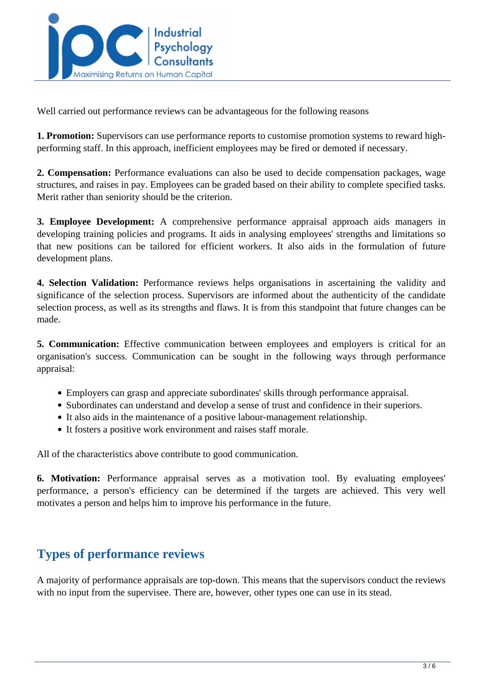

Well carried out performance reviews can be advantageous for the following reasons

**1. Promotion:** Supervisors can use performance reports to customise promotion systems to reward highperforming staff. In this approach, inefficient employees may be fired or demoted if necessary.

**2. Compensation:** Performance evaluations can also be used to decide compensation packages, wage structures, and raises in pay. Employees can be graded based on their ability to complete specified tasks. Merit rather than seniority should be the criterion.

**3. Employee Development:** A comprehensive performance appraisal approach aids managers in developing training policies and programs. It aids in analysing employees' strengths and limitations so that new positions can be tailored for efficient workers. It also aids in the formulation of future development plans.

**4. Selection Validation:** Performance reviews helps organisations in ascertaining the validity and significance of the selection process. Supervisors are informed about the authenticity of the candidate selection process, as well as its strengths and flaws. It is from this standpoint that future changes can be made.

**5. Communication:** Effective communication between employees and employers is critical for an organisation's success. Communication can be sought in the following ways through performance appraisal:

- Employers can grasp and appreciate subordinates' skills through performance appraisal.
- Subordinates can understand and develop a sense of trust and confidence in their superiors.
- It also aids in the maintenance of a positive labour-management relationship.
- It fosters a positive work environment and raises staff morale.

All of the characteristics above contribute to good communication.

**6. Motivation:** Performance appraisal serves as a motivation tool. By evaluating employees' performance, a person's efficiency can be determined if the targets are achieved. This very well motivates a person and helps him to improve his performance in the future.

# **Types of performance reviews**

A majority of performance appraisals are top-down. This means that the supervisors conduct the reviews with no input from the supervisee. There are, however, other types one can use in its stead.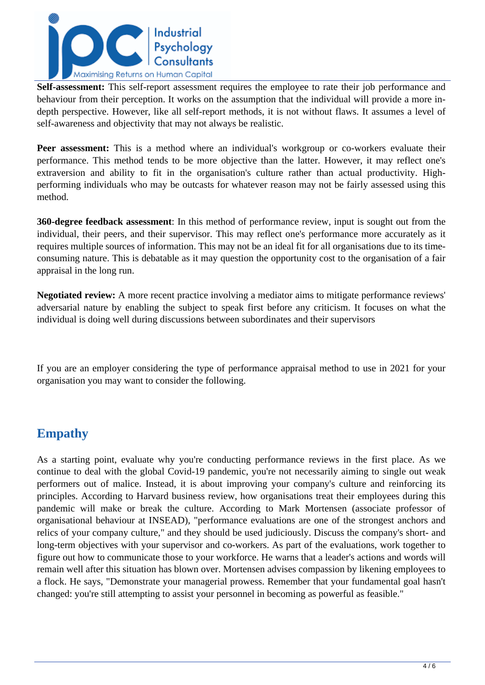

**Self-assessment:** This self-report assessment requires the employee to rate their job performance and behaviour from their perception. It works on the assumption that the individual will provide a more indepth perspective. However, like all self-report methods, it is not without flaws. It assumes a level of self-awareness and objectivity that may not always be realistic.

**Peer assessment:** This is a method where an individual's workgroup or co-workers evaluate their performance. This method tends to be more objective than the latter. However, it may reflect one's extraversion and ability to fit in the organisation's culture rather than actual productivity. Highperforming individuals who may be outcasts for whatever reason may not be fairly assessed using this method.

**360-degree feedback assessment**: In this method of performance review, input is sought out from the individual, their peers, and their supervisor. This may reflect one's performance more accurately as it requires multiple sources of information. This may not be an ideal fit for all organisations due to its timeconsuming nature. This is debatable as it may question the opportunity cost to the organisation of a fair appraisal in the long run.

**Negotiated review:** A more recent practice involving a mediator aims to mitigate performance reviews' adversarial nature by enabling the subject to speak first before any criticism. It focuses on what the individual is doing well during discussions between subordinates and their supervisors

If you are an employer considering the type of performance appraisal method to use in 2021 for your organisation you may want to consider the following.

### **Empathy**

As a starting point, evaluate why you're conducting performance reviews in the first place. As we continue to deal with the global Covid-19 pandemic, you're not necessarily aiming to single out weak performers out of malice. Instead, it is about improving your company's culture and reinforcing its principles. According to Harvard business review, how organisations treat their employees during this pandemic will make or break the culture. According to Mark Mortensen (associate professor of organisational behaviour at INSEAD), "performance evaluations are one of the strongest anchors and relics of your company culture," and they should be used judiciously. Discuss the company's short- and long-term objectives with your supervisor and co-workers. As part of the evaluations, work together to figure out how to communicate those to your workforce. He warns that a leader's actions and words will remain well after this situation has blown over. Mortensen advises compassion by likening employees to a flock. He says, "Demonstrate your managerial prowess. Remember that your fundamental goal hasn't changed: you're still attempting to assist your personnel in becoming as powerful as feasible."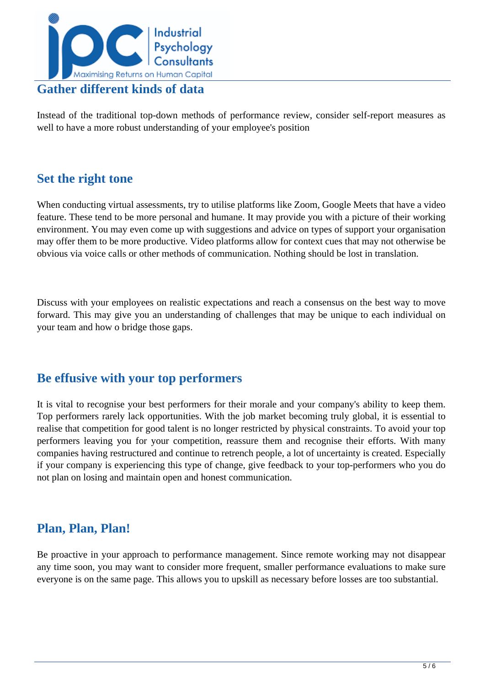

Instead of the traditional top-down methods of performance review, consider self-report measures as well to have a more robust understanding of your employee's position

### **Set the right tone**

When conducting virtual assessments, try to utilise platforms like Zoom, Google Meets that have a video feature. These tend to be more personal and humane. It may provide you with a picture of their working environment. You may even come up with suggestions and advice on types of support your organisation may offer them to be more productive. Video platforms allow for context cues that may not otherwise be obvious via voice calls or other methods of communication. Nothing should be lost in translation.

Discuss with your employees on realistic expectations and reach a consensus on the best way to move forward. This may give you an understanding of challenges that may be unique to each individual on your team and how o bridge those gaps.

### **Be effusive with your top performers**

It is vital to recognise your best performers for their morale and your company's ability to keep them. Top performers rarely lack opportunities. With the job market becoming truly global, it is essential to realise that competition for good talent is no longer restricted by physical constraints. To avoid your top performers leaving you for your competition, reassure them and recognise their efforts. With many companies having restructured and continue to retrench people, a lot of uncertainty is created. Especially if your company is experiencing this type of change, give feedback to your top-performers who you do not plan on losing and maintain open and honest communication.

# **Plan, Plan, Plan!**

Be proactive in your approach to performance management. Since remote working may not disappear any time soon, you may want to consider more frequent, smaller performance evaluations to make sure everyone is on the same page. This allows you to upskill as necessary before losses are too substantial.